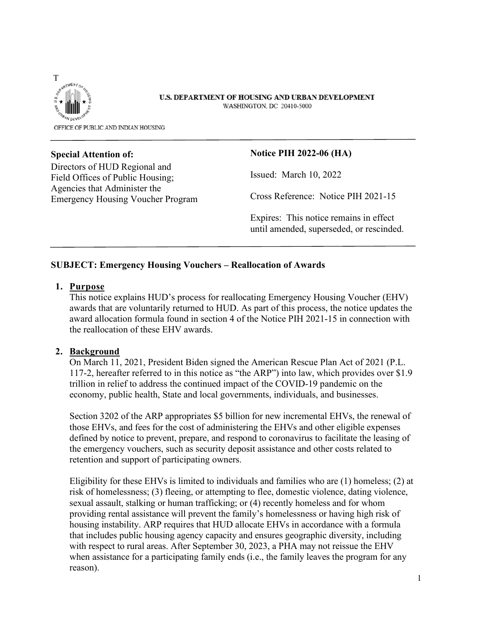

#### U.S. DEPARTMENT OF HOUSING AND URBAN DEVELOPMENT WASHINGTON, DC 20410-5000

OFFICE OF PUBLIC AND INDIAN HOUSING

#### **Special Attention of:**

Directors of HUD Regional and Field Offices of Public Housing; Agencies that Administer the Emergency Housing Voucher Program

#### **Notice PIH 2022-06 (HA)**

Issued: March 10, 2022

Cross Reference: Notice PIH 2021-15

Expires: This notice remains in effect until amended, superseded, or rescinded.

### **SUBJECT: Emergency Housing Vouchers – Reallocation of Awards**

### **1. Purpose**

This notice explains HUD's process for reallocating Emergency Housing Voucher (EHV) awards that are voluntarily returned to HUD. As part of this process, the notice updates the award allocation formula found in section 4 of the Notice PIH 2021-15 in connection with the reallocation of these EHV awards.

### **2. Background**

On March 11, 2021, President Biden signed the American Rescue Plan Act of 2021 (P.L. 117-2, hereafter referred to in this notice as "the ARP") into law, which provides over \$1.9 trillion in relief to address the continued impact of the COVID-19 pandemic on the economy, public health, State and local governments, individuals, and businesses.

Section 3202 of the ARP appropriates \$5 billion for new incremental EHVs, the renewal of those EHVs, and fees for the cost of administering the EHVs and other eligible expenses defined by notice to prevent, prepare, and respond to coronavirus to facilitate the leasing of the emergency vouchers, such as security deposit assistance and other costs related to retention and support of participating owners.

Eligibility for these EHVs is limited to individuals and families who are (1) homeless; (2) at risk of homelessness; (3) fleeing, or attempting to flee, domestic violence, dating violence, sexual assault, stalking or human trafficking; or (4) recently homeless and for whom providing rental assistance will prevent the family's homelessness or having high risk of housing instability. ARP requires that HUD allocate EHVs in accordance with a formula that includes public housing agency capacity and ensures geographic diversity, including with respect to rural areas. After September 30, 2023, a PHA may not reissue the EHV when assistance for a participating family ends (i.e., the family leaves the program for any reason).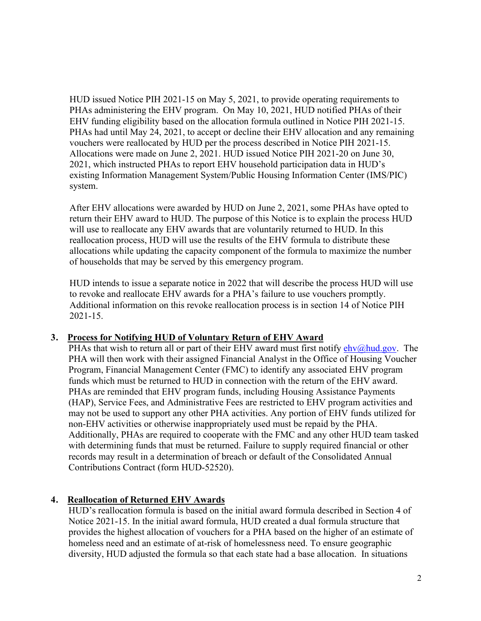HUD issued Notice PIH 2021-15 on May 5, 2021, to provide operating requirements to PHAs administering the EHV program. On May 10, 2021, HUD notified PHAs of their EHV funding eligibility based on the allocation formula outlined in Notice PIH 2021-15. PHAs had until May 24, 2021, to accept or decline their EHV allocation and any remaining vouchers were reallocated by HUD per the process described in Notice PIH 2021-15. Allocations were made on June 2, 2021. HUD issued Notice PIH 2021-20 on June 30, 2021, which instructed PHAs to report EHV household participation data in HUD's existing Information Management System/Public Housing Information Center (IMS/PIC) system.

After EHV allocations were awarded by HUD on June 2, 2021, some PHAs have opted to return their EHV award to HUD. The purpose of this Notice is to explain the process HUD will use to reallocate any EHV awards that are voluntarily returned to HUD. In this reallocation process, HUD will use the results of the EHV formula to distribute these allocations while updating the capacity component of the formula to maximize the number of households that may be served by this emergency program.

HUD intends to issue a separate notice in 2022 that will describe the process HUD will use to revoke and reallocate EHV awards for a PHA's failure to use vouchers promptly. Additional information on this revoke reallocation process is in section 14 of Notice PIH 2021-15.

### **3. Process for Notifying HUD of Voluntary Return of EHV Award**

PHAs that wish to return all or part of their EHV award must first notify  $ehv@hud.gov$ . The PHA will then work with their assigned Financial Analyst in the Office of Housing Voucher Program, Financial Management Center (FMC) to identify any associated EHV program funds which must be returned to HUD in connection with the return of the EHV award. PHAs are reminded that EHV program funds, including Housing Assistance Payments (HAP), Service Fees, and Administrative Fees are restricted to EHV program activities and may not be used to support any other PHA activities. Any portion of EHV funds utilized for non-EHV activities or otherwise inappropriately used must be repaid by the PHA. Additionally, PHAs are required to cooperate with the FMC and any other HUD team tasked with determining funds that must be returned. Failure to supply required financial or other records may result in a determination of breach or default of the Consolidated Annual Contributions Contract (form HUD-52520).

# **4. Reallocation of Returned EHV Awards**

HUD's reallocation formula is based on the initial award formula described in Section 4 of Notice 2021-15. In the initial award formula, HUD created a dual formula structure that provides the highest allocation of vouchers for a PHA based on the higher of an estimate of homeless need and an estimate of at-risk of homelessness need. To ensure geographic diversity, HUD adjusted the formula so that each state had a base allocation. In situations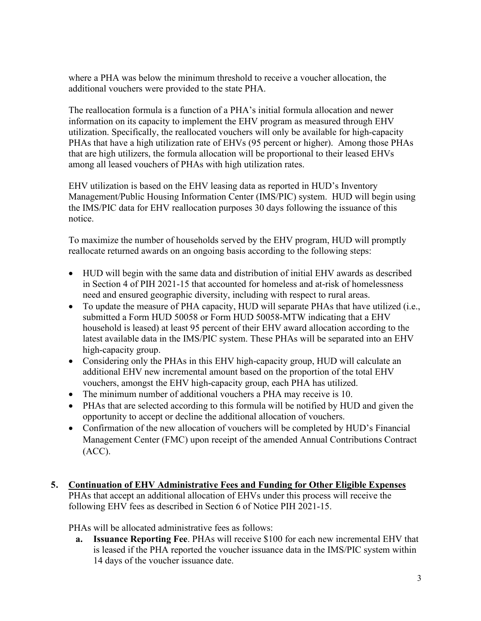where a PHA was below the minimum threshold to receive a voucher allocation, the additional vouchers were provided to the state PHA.

The reallocation formula is a function of a PHA's initial formula allocation and newer information on its capacity to implement the EHV program as measured through EHV utilization. Specifically, the reallocated vouchers will only be available for high-capacity PHAs that have a high utilization rate of EHVs (95 percent or higher). Among those PHAs that are high utilizers, the formula allocation will be proportional to their leased EHVs among all leased vouchers of PHAs with high utilization rates.

EHV utilization is based on the EHV leasing data as reported in HUD's Inventory Management/Public Housing Information Center (IMS/PIC) system. HUD will begin using the IMS/PIC data for EHV reallocation purposes 30 days following the issuance of this notice.

To maximize the number of households served by the EHV program, HUD will promptly reallocate returned awards on an ongoing basis according to the following steps:

- HUD will begin with the same data and distribution of initial EHV awards as described in Section 4 of PIH 2021-15 that accounted for homeless and at-risk of homelessness need and ensured geographic diversity, including with respect to rural areas.
- To update the measure of PHA capacity, HUD will separate PHAs that have utilized (i.e., submitted a Form HUD 50058 or Form HUD 50058-MTW indicating that a EHV household is leased) at least 95 percent of their EHV award allocation according to the latest available data in the IMS/PIC system. These PHAs will be separated into an EHV high-capacity group.
- Considering only the PHAs in this EHV high-capacity group, HUD will calculate an additional EHV new incremental amount based on the proportion of the total EHV vouchers, amongst the EHV high-capacity group, each PHA has utilized.
- The minimum number of additional vouchers a PHA may receive is 10.
- PHAs that are selected according to this formula will be notified by HUD and given the opportunity to accept or decline the additional allocation of vouchers.
- Confirmation of the new allocation of vouchers will be completed by HUD's Financial Management Center (FMC) upon receipt of the amended Annual Contributions Contract (ACC).
- **5. Continuation of EHV Administrative Fees and Funding for Other Eligible Expenses**  PHAs that accept an additional allocation of EHVs under this process will receive the following EHV fees as described in Section 6 of Notice PIH 2021-15.

PHAs will be allocated administrative fees as follows:

**a. Issuance Reporting Fee**. PHAs will receive \$100 for each new incremental EHV that is leased if the PHA reported the voucher issuance data in the IMS/PIC system within 14 days of the voucher issuance date.